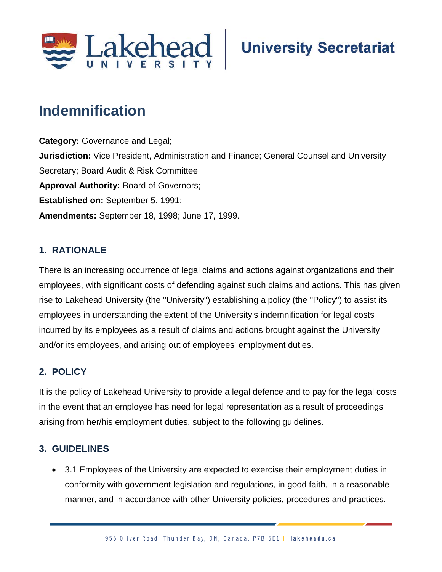

# **Indemnification**

**Category:** Governance and Legal; **Jurisdiction:** Vice President, Administration and Finance; General Counsel and University Secretary; Board Audit & Risk Committee **Approval Authority:** Board of Governors; **Established on:** September 5, 1991; **Amendments:** September 18, 1998; June 17, 1999.

### **1. RATIONALE**

There is an increasing occurrence of legal claims and actions against organizations and their employees, with significant costs of defending against such claims and actions. This has given rise to Lakehead University (the "University") establishing a policy (the "Policy") to assist its employees in understanding the extent of the University's indemnification for legal costs incurred by its employees as a result of claims and actions brought against the University and/or its employees, and arising out of employees' employment duties.

## **2. POLICY**

It is the policy of Lakehead University to provide a legal defence and to pay for the legal costs in the event that an employee has need for legal representation as a result of proceedings arising from her/his employment duties, subject to the following guidelines.

#### **3. GUIDELINES**

• 3.1 Employees of the University are expected to exercise their employment duties in conformity with government legislation and regulations, in good faith, in a reasonable manner, and in accordance with other University policies, procedures and practices.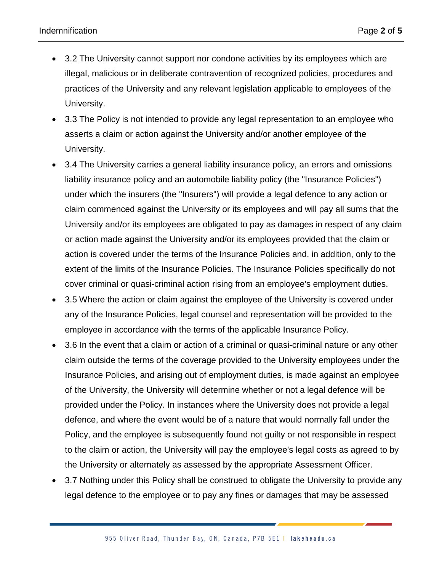- 3.2 The University cannot support nor condone activities by its employees which are illegal, malicious or in deliberate contravention of recognized policies, procedures and practices of the University and any relevant legislation applicable to employees of the University.
- 3.3 The Policy is not intended to provide any legal representation to an employee who asserts a claim or action against the University and/or another employee of the University.
- 3.4 The University carries a general liability insurance policy, an errors and omissions liability insurance policy and an automobile liability policy (the "Insurance Policies") under which the insurers (the "Insurers") will provide a legal defence to any action or claim commenced against the University or its employees and will pay all sums that the University and/or its employees are obligated to pay as damages in respect of any claim or action made against the University and/or its employees provided that the claim or action is covered under the terms of the Insurance Policies and, in addition, only to the extent of the limits of the Insurance Policies. The Insurance Policies specifically do not cover criminal or quasi-criminal action rising from an employee's employment duties.
- 3.5 Where the action or claim against the employee of the University is covered under any of the Insurance Policies, legal counsel and representation will be provided to the employee in accordance with the terms of the applicable Insurance Policy.
- 3.6 In the event that a claim or action of a criminal or quasi-criminal nature or any other claim outside the terms of the coverage provided to the University employees under the Insurance Policies, and arising out of employment duties, is made against an employee of the University, the University will determine whether or not a legal defence will be provided under the Policy. In instances where the University does not provide a legal defence, and where the event would be of a nature that would normally fall under the Policy, and the employee is subsequently found not guilty or not responsible in respect to the claim or action, the University will pay the employee's legal costs as agreed to by the University or alternately as assessed by the appropriate Assessment Officer.
- 3.7 Nothing under this Policy shall be construed to obligate the University to provide any legal defence to the employee or to pay any fines or damages that may be assessed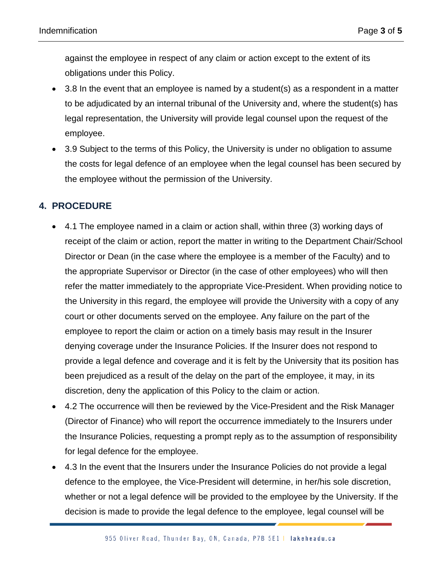against the employee in respect of any claim or action except to the extent of its obligations under this Policy.

- 3.8 In the event that an employee is named by a student(s) as a respondent in a matter to be adjudicated by an internal tribunal of the University and, where the student(s) has legal representation, the University will provide legal counsel upon the request of the employee.
- 3.9 Subject to the terms of this Policy, the University is under no obligation to assume the costs for legal defence of an employee when the legal counsel has been secured by the employee without the permission of the University.

# **4. PROCEDURE**

- 4.1 The employee named in a claim or action shall, within three (3) working days of receipt of the claim or action, report the matter in writing to the Department Chair/School Director or Dean (in the case where the employee is a member of the Faculty) and to the appropriate Supervisor or Director (in the case of other employees) who will then refer the matter immediately to the appropriate Vice-President. When providing notice to the University in this regard, the employee will provide the University with a copy of any court or other documents served on the employee. Any failure on the part of the employee to report the claim or action on a timely basis may result in the Insurer denying coverage under the Insurance Policies. If the Insurer does not respond to provide a legal defence and coverage and it is felt by the University that its position has been prejudiced as a result of the delay on the part of the employee, it may, in its discretion, deny the application of this Policy to the claim or action.
- 4.2 The occurrence will then be reviewed by the Vice-President and the Risk Manager (Director of Finance) who will report the occurrence immediately to the Insurers under the Insurance Policies, requesting a prompt reply as to the assumption of responsibility for legal defence for the employee.
- 4.3 In the event that the Insurers under the Insurance Policies do not provide a legal defence to the employee, the Vice-President will determine, in her/his sole discretion, whether or not a legal defence will be provided to the employee by the University. If the decision is made to provide the legal defence to the employee, legal counsel will be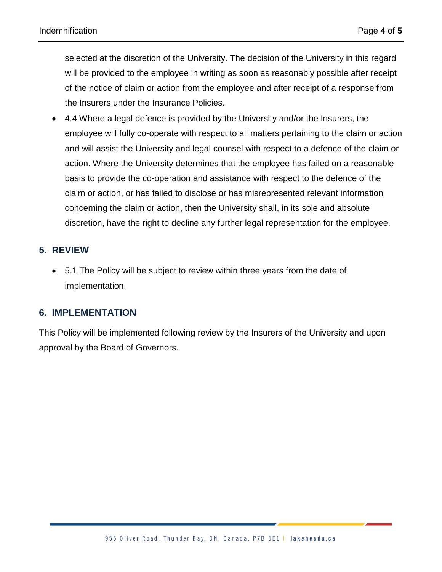selected at the discretion of the University. The decision of the University in this regard will be provided to the employee in writing as soon as reasonably possible after receipt of the notice of claim or action from the employee and after receipt of a response from the Insurers under the Insurance Policies.

• 4.4 Where a legal defence is provided by the University and/or the Insurers, the employee will fully co-operate with respect to all matters pertaining to the claim or action and will assist the University and legal counsel with respect to a defence of the claim or action. Where the University determines that the employee has failed on a reasonable basis to provide the co-operation and assistance with respect to the defence of the claim or action, or has failed to disclose or has misrepresented relevant information concerning the claim or action, then the University shall, in its sole and absolute discretion, have the right to decline any further legal representation for the employee.

# **5. REVIEW**

• 5.1 The Policy will be subject to review within three years from the date of implementation.

## **6. IMPLEMENTATION**

This Policy will be implemented following review by the Insurers of the University and upon approval by the Board of Governors.